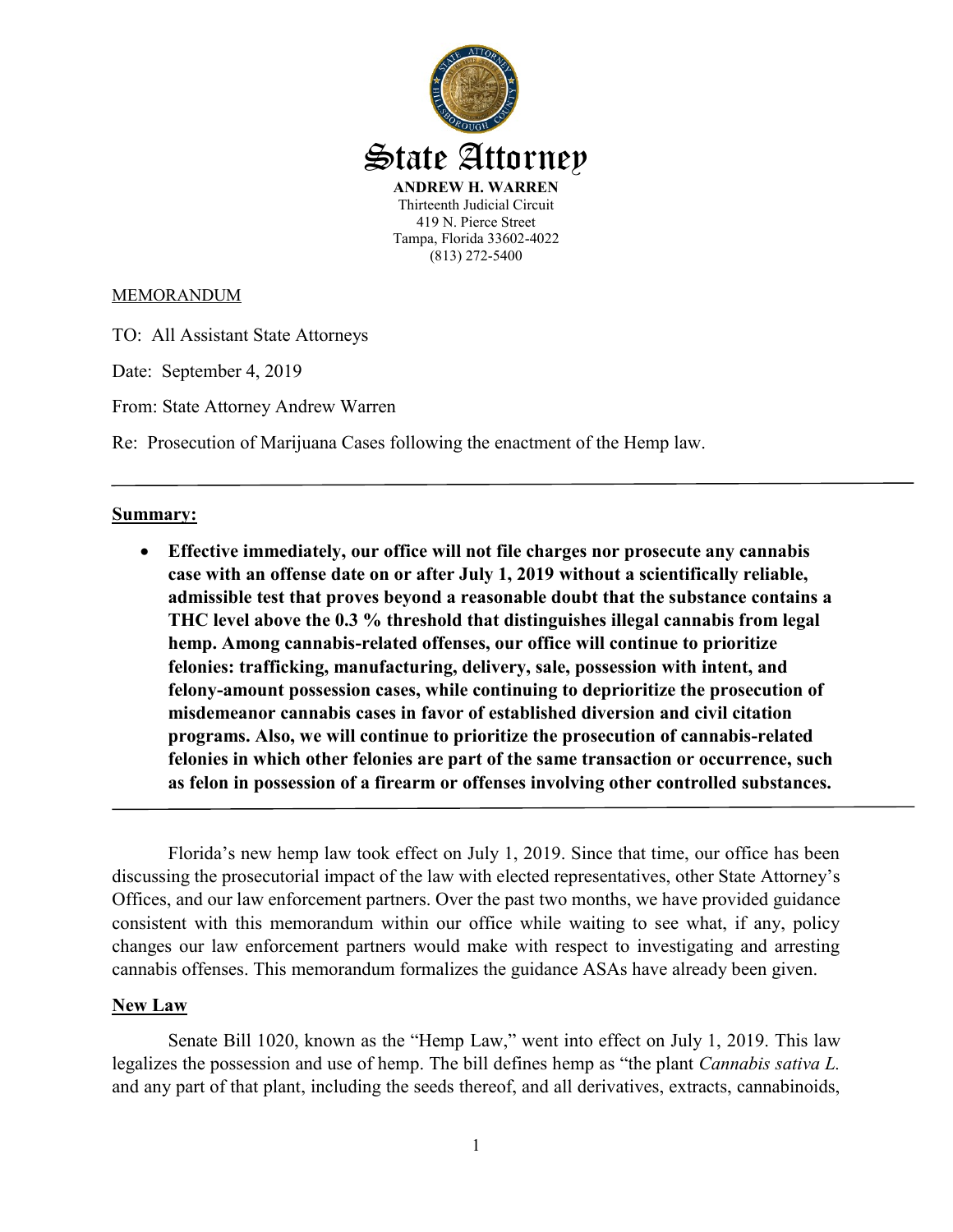

MEMORANDUM

TO: All Assistant State Attorneys

Date: September 4, 2019

From: State Attorney Andrew Warren

Re: Prosecution of Marijuana Cases following the enactment of the Hemp law.

### **Summary:**

 **Effective immediately, our office will not file charges nor prosecute any cannabis case with an offense date on or after July 1, 2019 without a scientifically reliable, admissible test that proves beyond a reasonable doubt that the substance contains a THC level above the 0.3 % threshold that distinguishes illegal cannabis from legal hemp. Among cannabis-related offenses, our office will continue to prioritize felonies: trafficking, manufacturing, delivery, sale, possession with intent, and felony-amount possession cases, while continuing to deprioritize the prosecution of misdemeanor cannabis cases in favor of established diversion and civil citation programs. Also, we will continue to prioritize the prosecution of cannabis-related felonies in which other felonies are part of the same transaction or occurrence, such as felon in possession of a firearm or offenses involving other controlled substances.** 

Florida's new hemp law took effect on July 1, 2019. Since that time, our office has been discussing the prosecutorial impact of the law with elected representatives, other State Attorney's Offices, and our law enforcement partners. Over the past two months, we have provided guidance consistent with this memorandum within our office while waiting to see what, if any, policy changes our law enforcement partners would make with respect to investigating and arresting cannabis offenses. This memorandum formalizes the guidance ASAs have already been given.

## **New Law**

Senate Bill 1020, known as the "Hemp Law," went into effect on July 1, 2019. This law legalizes the possession and use of hemp. The bill defines hemp as "the plant *Cannabis sativa L.* and any part of that plant, including the seeds thereof, and all derivatives, extracts, cannabinoids,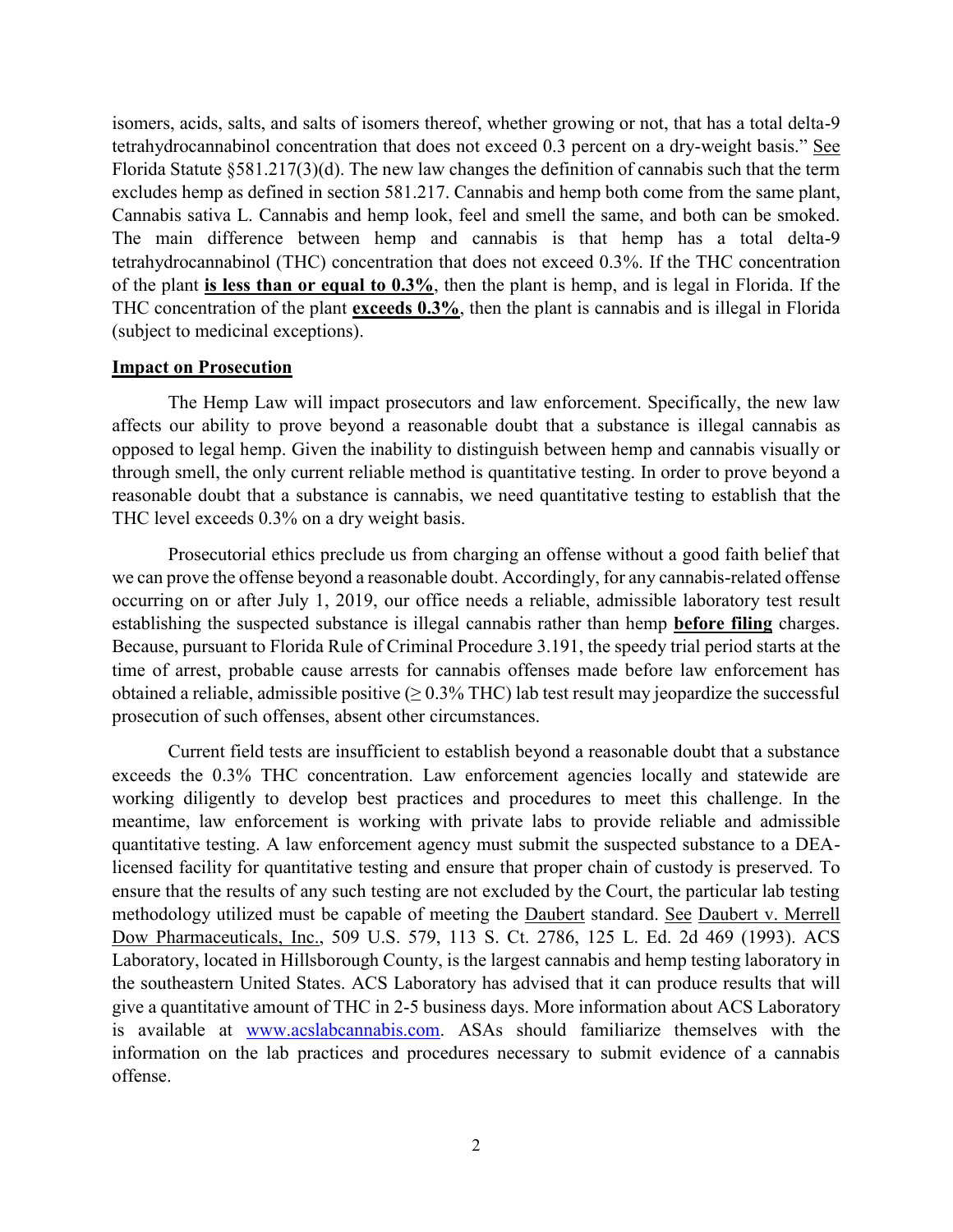isomers, acids, salts, and salts of isomers thereof, whether growing or not, that has a total delta-9 tetrahydrocannabinol concentration that does not exceed 0.3 percent on a dry-weight basis." See Florida Statute §581.217(3)(d). The new law changes the definition of cannabis such that the term excludes hemp as defined in section 581.217. Cannabis and hemp both come from the same plant, Cannabis sativa L. Cannabis and hemp look, feel and smell the same, and both can be smoked. The main difference between hemp and cannabis is that hemp has a total delta-9 tetrahydrocannabinol (THC) concentration that does not exceed 0.3%. If the THC concentration of the plant **is less than or equal to 0.3%**, then the plant is hemp, and is legal in Florida. If the THC concentration of the plant **exceeds 0.3%**, then the plant is cannabis and is illegal in Florida (subject to medicinal exceptions).

#### **Impact on Prosecution**

The Hemp Law will impact prosecutors and law enforcement. Specifically, the new law affects our ability to prove beyond a reasonable doubt that a substance is illegal cannabis as opposed to legal hemp. Given the inability to distinguish between hemp and cannabis visually or through smell, the only current reliable method is quantitative testing. In order to prove beyond a reasonable doubt that a substance is cannabis, we need quantitative testing to establish that the THC level exceeds 0.3% on a dry weight basis.

Prosecutorial ethics preclude us from charging an offense without a good faith belief that we can prove the offense beyond a reasonable doubt. Accordingly, for any cannabis-related offense occurring on or after July 1, 2019, our office needs a reliable, admissible laboratory test result establishing the suspected substance is illegal cannabis rather than hemp **before filing** charges. Because, pursuant to Florida Rule of Criminal Procedure 3.191, the speedy trial period starts at the time of arrest, probable cause arrests for cannabis offenses made before law enforcement has obtained a reliable, admissible positive  $(\geq 0.3\% \text{ THC})$  lab test result may jeopardize the successful prosecution of such offenses, absent other circumstances.

Current field tests are insufficient to establish beyond a reasonable doubt that a substance exceeds the 0.3% THC concentration. Law enforcement agencies locally and statewide are working diligently to develop best practices and procedures to meet this challenge. In the meantime, law enforcement is working with private labs to provide reliable and admissible quantitative testing. A law enforcement agency must submit the suspected substance to a DEAlicensed facility for quantitative testing and ensure that proper chain of custody is preserved. To ensure that the results of any such testing are not excluded by the Court, the particular lab testing methodology utilized must be capable of meeting the Daubert standard. See Daubert v. Merrell Dow Pharmaceuticals, Inc., 509 U.S. 579, 113 S. Ct. 2786, 125 L. Ed. 2d 469 (1993). ACS Laboratory, located in Hillsborough County, is the largest cannabis and hemp testing laboratory in the southeastern United States. ACS Laboratory has advised that it can produce results that will give a quantitative amount of THC in 2-5 business days. More information about ACS Laboratory is available at [www.acslabcannabis.com.](http://www.acslabcannabis.com/) ASAs should familiarize themselves with the information on the lab practices and procedures necessary to submit evidence of a cannabis offense.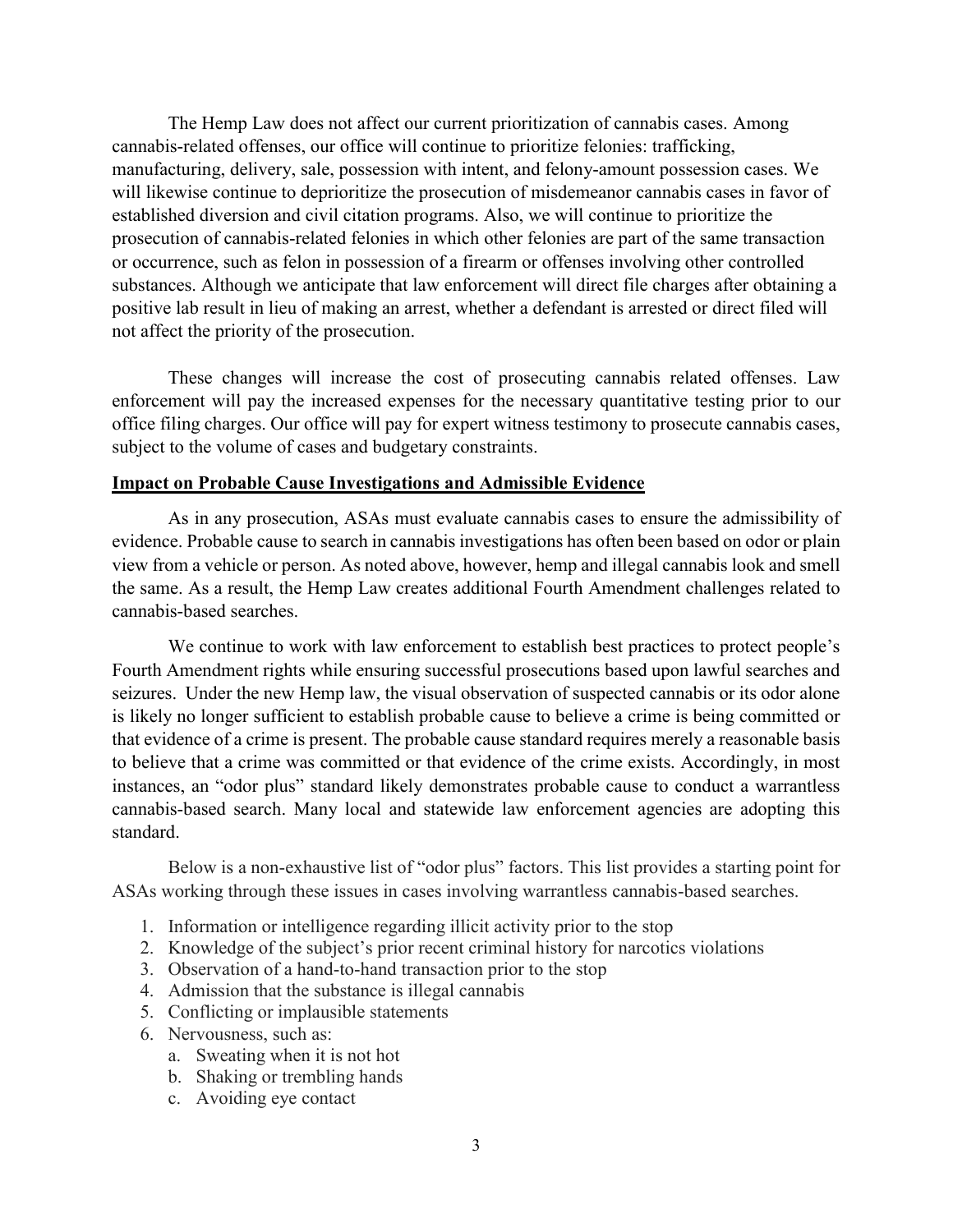The Hemp Law does not affect our current prioritization of cannabis cases. Among cannabis-related offenses, our office will continue to prioritize felonies: trafficking, manufacturing, delivery, sale, possession with intent, and felony-amount possession cases. We will likewise continue to deprioritize the prosecution of misdemeanor cannabis cases in favor of established diversion and civil citation programs. Also, we will continue to prioritize the prosecution of cannabis-related felonies in which other felonies are part of the same transaction or occurrence, such as felon in possession of a firearm or offenses involving other controlled substances. Although we anticipate that law enforcement will direct file charges after obtaining a positive lab result in lieu of making an arrest, whether a defendant is arrested or direct filed will not affect the priority of the prosecution.

These changes will increase the cost of prosecuting cannabis related offenses. Law enforcement will pay the increased expenses for the necessary quantitative testing prior to our office filing charges. Our office will pay for expert witness testimony to prosecute cannabis cases, subject to the volume of cases and budgetary constraints.

## **Impact on Probable Cause Investigations and Admissible Evidence**

As in any prosecution, ASAs must evaluate cannabis cases to ensure the admissibility of evidence. Probable cause to search in cannabis investigations has often been based on odor or plain view from a vehicle or person. As noted above, however, hemp and illegal cannabis look and smell the same. As a result, the Hemp Law creates additional Fourth Amendment challenges related to cannabis-based searches.

We continue to work with law enforcement to establish best practices to protect people's Fourth Amendment rights while ensuring successful prosecutions based upon lawful searches and seizures. Under the new Hemp law, the visual observation of suspected cannabis or its odor alone is likely no longer sufficient to establish probable cause to believe a crime is being committed or that evidence of a crime is present. The probable cause standard requires merely a reasonable basis to believe that a crime was committed or that evidence of the crime exists. Accordingly, in most instances, an "odor plus" standard likely demonstrates probable cause to conduct a warrantless cannabis-based search. Many local and statewide law enforcement agencies are adopting this standard.

Below is a non-exhaustive list of "odor plus" factors. This list provides a starting point for ASAs working through these issues in cases involving warrantless cannabis-based searches.

- 1. Information or intelligence regarding illicit activity prior to the stop
- 2. Knowledge of the subject's prior recent criminal history for narcotics violations
- 3. Observation of a hand-to-hand transaction prior to the stop
- 4. Admission that the substance is illegal cannabis
- 5. Conflicting or implausible statements
- 6. Nervousness, such as:
	- a. Sweating when it is not hot
	- b. Shaking or trembling hands
	- c. Avoiding eye contact